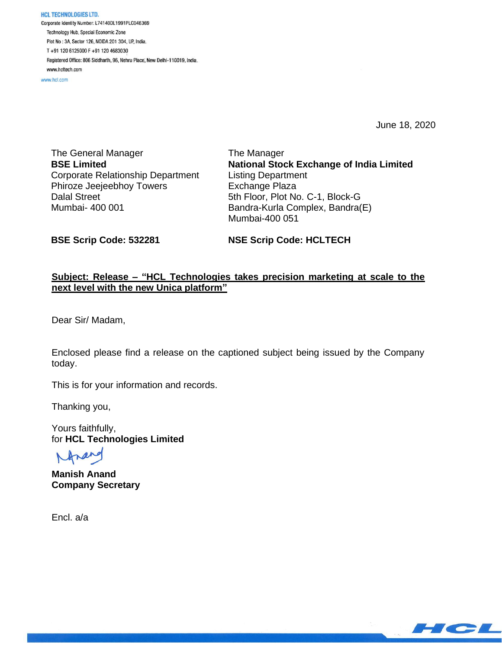HCL TECHNOLOGIES LTD. Corporate Identity Number: L74140DL1991PLC046369 Technology Hub, Special Economic Zone Plot No: 3A, Sector 126, NOIDA 201 304, UP, India. T+91 120 6125000 F+91 120 4683030 Registered Office: 806 Siddharth, 96, Nehru Place, New Delhi-110019, India. www.hcltech.com

www.hcl.com

June 18, 2020

The General Manager **BSE Limited** Corporate Relationship Department Phiroze Jeejeebhoy Towers Dalal Street Mumbai- 400 001

The Manager **National Stock Exchange of India Limited** Listing Department Exchange Plaza 5th Floor, Plot No. C-1, Block-G Bandra-Kurla Complex, Bandra(E) Mumbai-400 051

**BSE Scrip Code: 532281**

**NSE Scrip Code: HCLTECH**

## **Subject: Release – "HCL Technologies takes precision marketing at scale to the next level with the new Unica platform"**

Dear Sir/ Madam,

Enclosed please find a release on the captioned subject being issued by the Company today.

This is for your information and records.

Thanking you,

Yours faithfully, for **HCL Technologies Limited**

**Manish Anand Company Secretary**

Encl. a/a

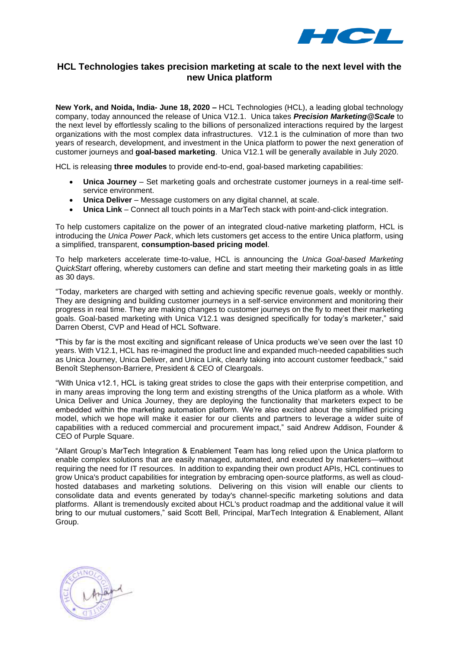

## **HCL Technologies takes precision marketing at scale to the next level with the new Unica platform**

**New York, and Noida, India- June 18, 2020 –** HCL Technologies (HCL), a leading global technology company, today announced the release of Unica V12.1. Unica takes *Precision Marketing@Scale* to the next level by effortlessly scaling to the billions of personalized interactions required by the largest organizations with the most complex data infrastructures. V12.1 is the culmination of more than two years of research, development, and investment in the Unica platform to power the next generation of customer journeys and **goal-based marketing**. Unica V12.1 will be generally available in July 2020.

HCL is releasing **three modules** to provide end-to-end, goal-based marketing capabilities:

- **Unica Journey** Set marketing goals and orchestrate customer journeys in a real-time selfservice environment.
- **Unica Deliver** Message customers on any digital channel, at scale.
- **Unica Link** Connect all touch points in a MarTech stack with point-and-click integration.

To help customers capitalize on the power of an integrated cloud-native marketing platform, HCL is introducing the *Unica Power Pack*, which lets customers get access to the entire Unica platform, using a simplified, transparent, **consumption-based pricing model**.

To help marketers accelerate time-to-value, HCL is announcing the *Unica Goal-based Marketing QuickStart* offering, whereby customers can define and start meeting their marketing goals in as little as 30 days.

"Today, marketers are charged with setting and achieving specific revenue goals, weekly or monthly. They are designing and building customer journeys in a self-service environment and monitoring their progress in real time. They are making changes to customer journeys on the fly to meet their marketing goals. Goal-based marketing with Unica V12.1 was designed specifically for today's marketer," said Darren Oberst, CVP and Head of HCL Software.

"This by far is the most exciting and significant release of Unica products we've seen over the last 10 years. With V12.1, HCL has re-imagined the product line and expanded much-needed capabilities such as Unica Journey, Unica Deliver, and Unica Link, clearly taking into account customer feedback," said Benoît Stephenson-Barriere, President & CEO of Cleargoals.

"With Unica v12.1, HCL is taking great strides to close the gaps with their enterprise competition, and in many areas improving the long term and existing strengths of the Unica platform as a whole. With Unica Deliver and Unica Journey, they are deploying the functionality that marketers expect to be embedded within the marketing automation platform. We're also excited about the simplified pricing model, which we hope will make it easier for our clients and partners to leverage a wider suite of capabilities with a reduced commercial and procurement impact," said Andrew Addison, Founder & CEO of Purple Square.

"Allant Group's MarTech Integration & Enablement Team has long relied upon the Unica platform to enable complex solutions that are easily managed, automated, and executed by marketers—without requiring the need for IT resources. In addition to expanding their own product APIs, HCL continues to grow Unica's product capabilities for integration by embracing open-source platforms, as well as cloudhosted databases and marketing solutions. Delivering on this vision will enable our clients to consolidate data and events generated by today's channel-specific marketing solutions and data platforms. Allant is tremendously excited about HCL's product roadmap and the additional value it will bring to our mutual customers," said Scott Bell, Principal, MarTech Integration & Enablement, Allant Group.

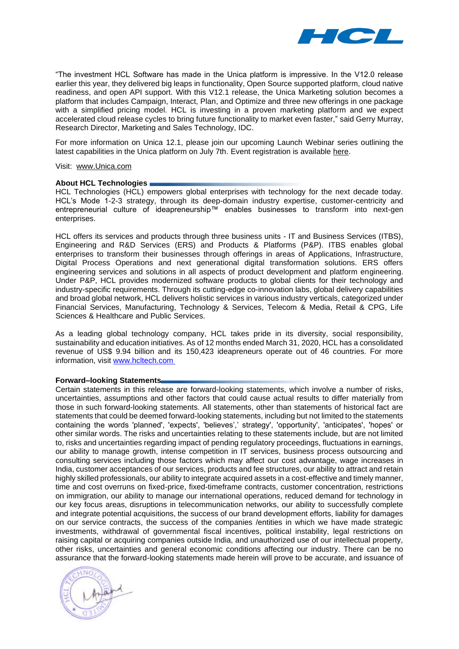

"The investment HCL Software has made in the Unica platform is impressive. In the V12.0 release earlier this year, they delivered big leaps in functionality, Open Source supported platform, cloud native readiness, and open API support. With this V12.1 release, the Unica Marketing solution becomes a platform that includes Campaign, Interact, Plan, and Optimize and three new offerings in one package with a simplified pricing model. HCL is investing in a proven marketing platform and we expect accelerated cloud release cycles to bring future functionality to market even faster," said Gerry Murray, Research Director, Marketing and Sales Technology, IDC.

For more information on Unica 12.1, please join our upcoming Launch Webinar series outlining the latest capabilities in the Unica platform on July 7th. Event registration is available [here.](http://www.unica.com/)

Visit: [www.Unica.com](http://www.unica.com/)

## **About HCL Technologies**

HCL Technologies (HCL) empowers global enterprises with technology for the next decade today. HCL's Mode 1-2-3 strategy, through its deep-domain industry expertise, customer-centricity and entrepreneurial culture of ideapreneurship™ enables businesses to transform into next-gen enterprises.

HCL offers its services and products through three business units - IT and Business Services (ITBS), Engineering and R&D Services (ERS) and Products & Platforms (P&P). ITBS enables global enterprises to transform their businesses through offerings in areas of Applications, Infrastructure, Digital Process Operations and next generational digital transformation solutions. ERS offers engineering services and solutions in all aspects of product development and platform engineering. Under P&P, HCL provides modernized software products to global clients for their technology and industry-specific requirements. Through its cutting-edge co-innovation labs, global delivery capabilities and broad global network, HCL delivers holistic services in various industry verticals, categorized under Financial Services, Manufacturing, Technology & Services, Telecom & Media, Retail & CPG, Life Sciences & Healthcare and Public Services.

As a leading global technology company, HCL takes pride in its diversity, social responsibility, sustainability and education initiatives. As of 12 months ended March 31, 2020, HCL has a consolidated revenue of US\$ 9.94 billion and its 150,423 ideapreneurs operate out of 46 countries. For more information, visit [www.hcltech.com](http://www.hcltech.com/)

## **Forward–looking Statements**

Certain statements in this release are forward-looking statements, which involve a number of risks, uncertainties, assumptions and other factors that could cause actual results to differ materially from those in such forward-looking statements. All statements, other than statements of historical fact are statements that could be deemed forward-looking statements, including but not limited to the statements containing the words 'planned', 'expects', 'believes',' strategy', 'opportunity', 'anticipates', 'hopes' or other similar words. The risks and uncertainties relating to these statements include, but are not limited to, risks and uncertainties regarding impact of pending regulatory proceedings, fluctuations in earnings, our ability to manage growth, intense competition in IT services, business process outsourcing and consulting services including those factors which may affect our cost advantage, wage increases in India, customer acceptances of our services, products and fee structures, our ability to attract and retain highly skilled professionals, our ability to integrate acquired assets in a cost-effective and timely manner, time and cost overruns on fixed-price, fixed-timeframe contracts, customer concentration, restrictions on immigration, our ability to manage our international operations, reduced demand for technology in our key focus areas, disruptions in telecommunication networks, our ability to successfully complete and integrate potential acquisitions, the success of our brand development efforts, liability for damages on our service contracts, the success of the companies /entities in which we have made strategic investments, withdrawal of governmental fiscal incentives, political instability, legal restrictions on raising capital or acquiring companies outside India, and unauthorized use of our intellectual property, other risks, uncertainties and general economic conditions affecting our industry. There can be no assurance that the forward-looking statements made herein will prove to be accurate, and issuance of